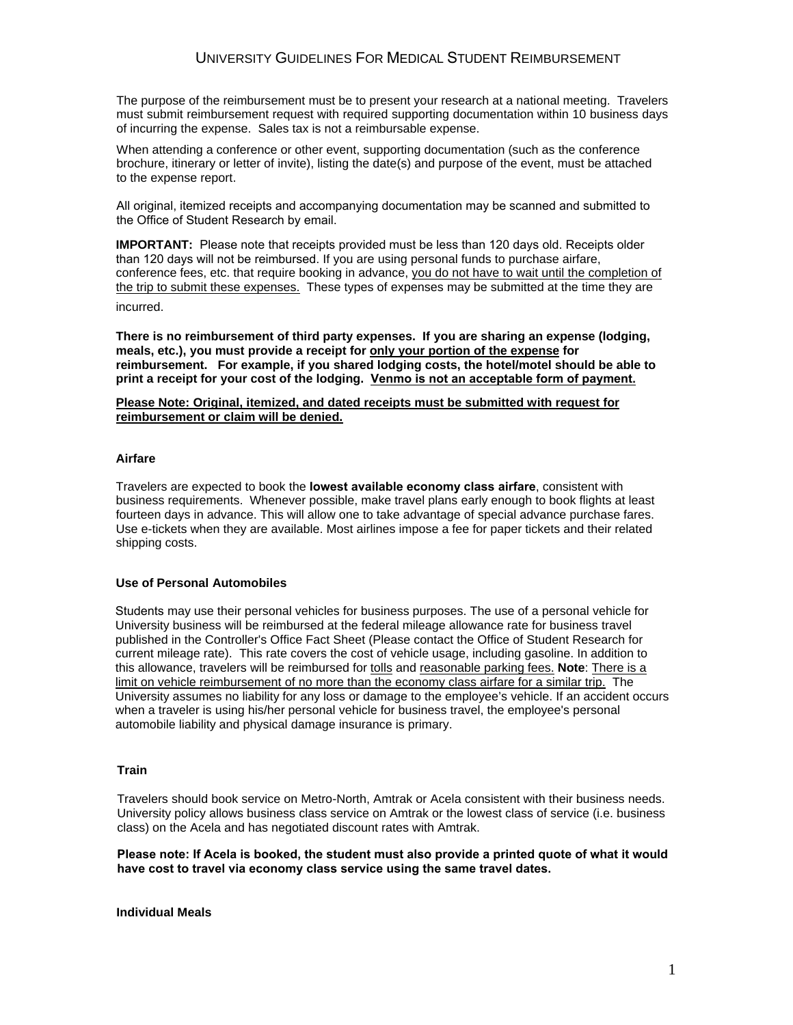The purpose of the reimbursement must be to present your research at a national meeting. Travelers must submit reimbursement request with required supporting documentation within 10 business days of incurring the expense. Sales tax is not a reimbursable expense.

When attending a conference or other event, supporting documentation (such as the conference brochure, itinerary or letter of invite), listing the date(s) and purpose of the event, must be attached to the expense report.

All original, itemized receipts and accompanying documentation may be scanned and submitted to the Office of Student Research by email.

**IMPORTANT:** Please note that receipts provided must be less than 120 days old. Receipts older than 120 days will not be reimbursed. If you are using personal funds to purchase airfare, conference fees, etc. that require booking in advance, you do not have to wait until the completion of the trip to submit these expenses. These types of expenses may be submitted at the time they are

incurred.

**There is no reimbursement of third party expenses. If you are sharing an expense (lodging, meals, etc.), you must provide a receipt for only your portion of the expense for reimbursement. For example, if you shared lodging costs, the hotel/motel should be able to print a receipt for your cost of the lodging. Venmo is not an acceptable form of payment.** 

# **Please Note: Original, itemized, and dated receipts must be submitted with request for reimbursement or claim will be denied.**

# **Airfare**

Travelers are expected to book the **lowest available economy class airfare**, consistent with business requirements. Whenever possible, make travel plans early enough to book flights at least fourteen days in advance. This will allow one to take advantage of special advance purchase fares. Use e-tickets when they are available. Most airlines impose a fee for paper tickets and their related shipping costs.

#### **Use of Personal Automobiles**

Students may use their personal vehicles for business purposes. The use of a personal vehicle for University business will be reimbursed at the federal mileage allowance rate for business travel published in the Controller's Office Fact Sheet (Please contact the Office of Student Research for current mileage rate). This rate covers the cost of vehicle usage, including gasoline. In addition to this allowance, travelers will be reimbursed for tolls and reasonable parking fees. **Note**: There is a limit on vehicle reimbursement of no more than the economy class airfare for a similar trip. The University assumes no liability for any loss or damage to the employee's vehicle. If an accident occurs when a traveler is using his/her personal vehicle for business travel, the employee's personal automobile liability and physical damage insurance is primary.

### **Train**

Travelers should book service on Metro-North, Amtrak or Acela consistent with their business needs. University policy allows business class service on Amtrak or the lowest class of service (i.e. business class) on the Acela and has negotiated discount rates with Amtrak.

**Please note: If Acela is booked, the student must also provide a printed quote of what it would have cost to travel via economy class service using the same travel dates.** 

**Individual Meals**